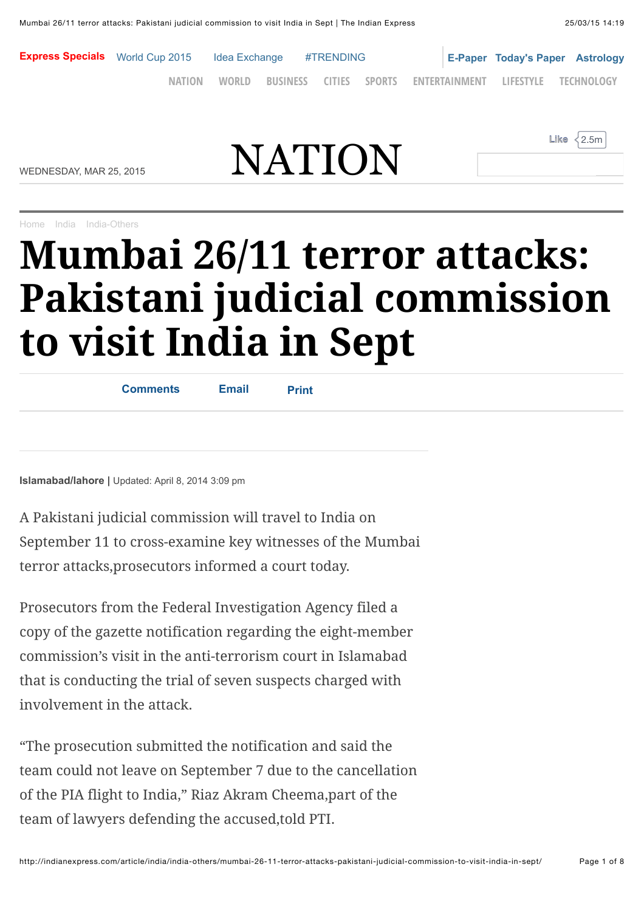

**Like** 2.5m

WEDNESDAY, MAR 25, 2015  $\mathbf{NATION}$  $\mathbf{NATION}$  $\mathbf{NATION}$ 

[Home](http://indianexpress.com/) [India](http://indianexpress.com/section/india/) [India-Others](http://indianexpress.com/section/india/india-others/)

## **Mumbai 26/11 terror attacks: Pakistani judicial commission to visit India in Sept**

| <b>Comments</b> | <b>Email</b> | <b>Print</b> |  |
|-----------------|--------------|--------------|--|
|                 |              |              |  |
|                 |              |              |  |

**Islamabad/lahore |** Updated: April 8, 2014 3:09 pm

A Pakistani judicial commission will travel to India on September 11 to cross-examine key witnesses of the Mumbai terror attacks,prosecutors informed a court today.

Prosecutors from the Federal Investigation Agency filed a copy of the gazette notification regarding the eight-member commission's visit in the anti-terrorism court in Islamabad that is conducting the trial of seven suspects charged with involvement in the attack.

"The prosecution submitted the notification and said the team could not leave on September 7 due to the cancellation of the PIA flight to India," Riaz Akram Cheema,part of the team of lawyers defending the accused,told PTI.